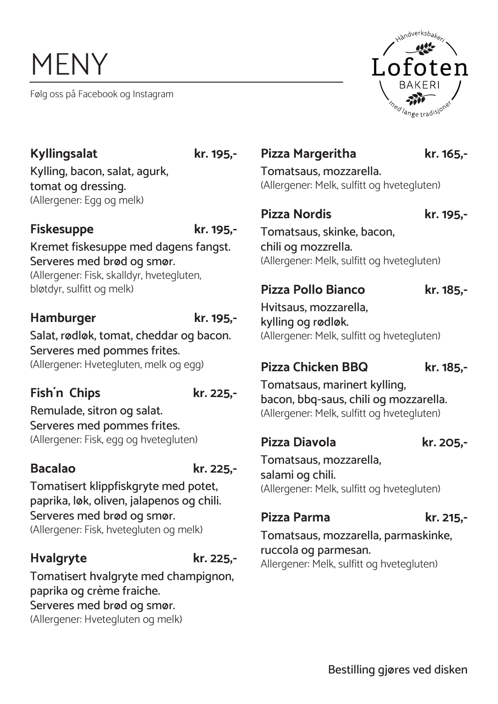# MENY

Følg oss på Facebook og Instagram



# **Kyllingsalat kr. 195,-**

Kylling, bacon, salat, agurk, tomat og dressing. (Allergener: Egg og melk)

### **Fiskesuppe kr. 195,-**

Kremet fiskesuppe med dagens fangst. Serveres med brød og smør. (Allergener: Fisk, skalldyr, hvetegluten, bløtdyr, sulfitt og melk)

### **Hamburger kr. 195,-**

Salat, rødløk, tomat, cheddar og bacon. Serveres med pommes frites. (Allergener: Hvetegluten, melk og egg)

# **Fish´n Chips kr. 225,-**

Remulade, sitron og salat. Serveres med pommes frites. (Allergener: Fisk, egg og hvetegluten)

**Bacalao kr. 225,-**

Tomatisert klippfiskgryte med potet, paprika, løk, oliven, jalapenos og chili. Serveres med brød og smør. (Allergener: Fisk, hvetegluten og melk)

# **Hvalgryte kr. 225,-**

Tomatisert hvalgryte med champignon,

paprika og crème fraiche. Serveres med brød og smør.

(Allergener: Hvetegluten og melk)

### Pizza Margeritha **kr.** 165,-

Tomatsaus, mozzarella. (Allergener: Melk, sulfitt og hvetegluten)

### **Pizza Nordis kr. 195,-**

Tomatsaus, skinke, bacon, chili og mozzrella. (Allergener: Melk, sulfitt og hvetegluten)

# **Pizza Pollo Bianco kr. 185,-**

Hvitsaus, mozzarella, kylling og rødløk. (Allergener: Melk, sulfitt og hvetegluten)

# **Pizza Chicken BBQ kr. 185,-**

Tomatsaus, marinert kylling, bacon, bbq-saus, chili og mozzarella. (Allergener: Melk, sulfitt og hvetegluten)

# **Pizza Diavola kr. 205,-**

Tomatsaus, mozzarella, salami og chili. (Allergener: Melk, sulfitt og hvetegluten)

# **Pizza Parma kr. 215,-**

Tomatsaus, mozzarella, parmaskinke, ruccola og parmesan. Allergener: Melk, sulfitt og hvetegluten)